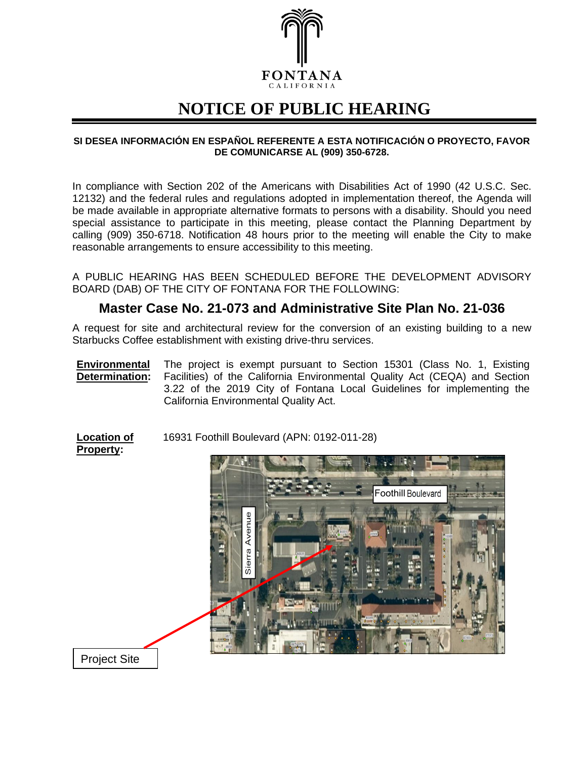

## **NOTICE OF PUBLIC HEARING**

## **SI DESEA INFORMACIÓN EN ESPAÑOL REFERENTE A ESTA NOTIFICACIÓN O PROYECTO, FAVOR DE COMUNICARSE AL (909) 350-6728.**

In compliance with Section 202 of the Americans with Disabilities Act of 1990 (42 U.S.C. Sec. 12132) and the federal rules and regulations adopted in implementation thereof, the Agenda will be made available in appropriate alternative formats to persons with a disability. Should you need special assistance to participate in this meeting, please contact the Planning Department by calling (909) 350-6718. Notification 48 hours prior to the meeting will enable the City to make reasonable arrangements to ensure accessibility to this meeting.

A PUBLIC HEARING HAS BEEN SCHEDULED BEFORE THE DEVELOPMENT ADVISORY BOARD (DAB) OF THE CITY OF FONTANA FOR THE FOLLOWING:

## **Master Case No. 21-073 and Administrative Site Plan No. 21-036**

A request for site and architectural review for the conversion of an existing building to a new Starbucks Coffee establishment with existing drive-thru services.

**Environmental Determination:** The project is exempt pursuant to Section 15301 (Class No. 1, Existing Facilities) of the California Environmental Quality Act (CEQA) and Section 3.22 of the 2019 City of Fontana Local Guidelines for implementing the California Environmental Quality Act.

**Location of** 16931 Foothill Boulevard (APN: 0192-011-28)